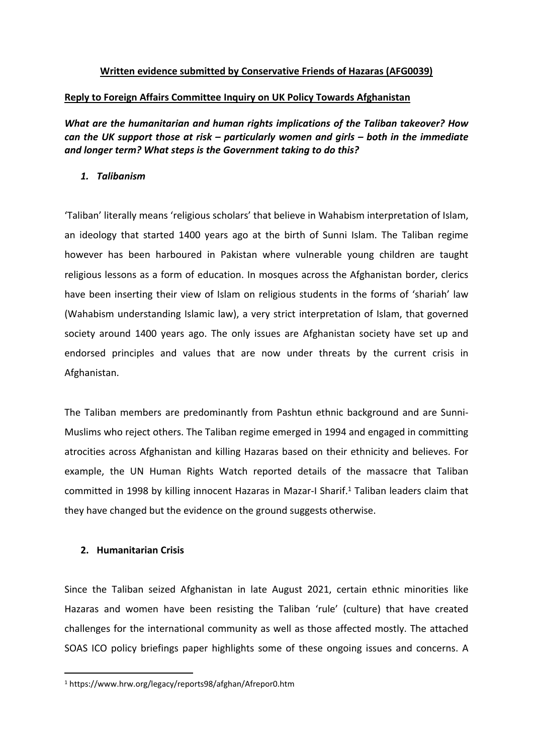# **Written evidence submitted by Conservative Friends of Hazaras (AFG0039)**

# **Reply to Foreign Affairs Committee Inquiry on UK Policy Towards Afghanistan**

*What are the humanitarian and human rights implications of the Taliban takeover? How can the UK support those at risk – particularly women and girls – both in the immediate and longer term? What steps is the Government taking to do this?*

## *1. Talibanism*

'Taliban' literally means 'religious scholars' that believe in Wahabism interpretation of Islam, an ideology that started 1400 years ago at the birth of Sunni Islam. The Taliban regime however has been harboured in Pakistan where vulnerable young children are taught religious lessons as a form of education. In mosques across the Afghanistan border, clerics have been inserting their view of Islam on religious students in the forms of 'shariah' law (Wahabism understanding Islamic law), a very strict interpretation of Islam, that governed society around 1400 years ago. The only issues are Afghanistan society have set up and endorsed principles and values that are now under threats by the current crisis in Afghanistan.

The Taliban members are predominantly from Pashtun ethnic background and are Sunni-Muslims who reject others. The Taliban regime emerged in 1994 and engaged in committing atrocities across Afghanistan and killing Hazaras based on their ethnicity and believes. For example, the UN Human Rights Watch reported details of the massacre that Taliban committed in 1998 by killing innocent Hazaras in Mazar-I Sharif.<sup>1</sup> Taliban leaders claim that they have changed but the evidence on the ground suggests otherwise.

## **2. Humanitarian Crisis**

Since the Taliban seized Afghanistan in late August 2021, certain ethnic minorities like Hazaras and women have been resisting the Taliban 'rule' (culture) that have created challenges for the international community as well as those affected mostly. The attached SOAS ICO policy briefings paper highlights some of these ongoing issues and concerns. A

<sup>1</sup> https://www.hrw.org/legacy/reports98/afghan/Afrepor0.htm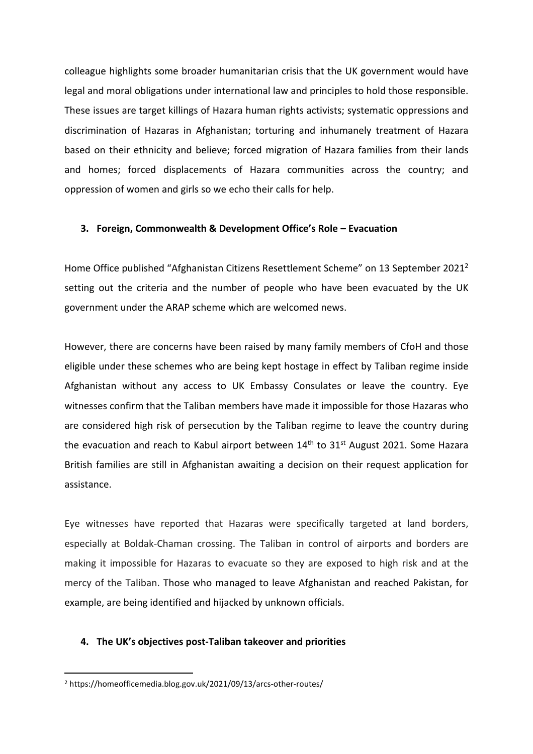colleague highlights some broader humanitarian crisis that the UK government would have legal and moral obligations under international law and principles to hold those responsible. These issues are target killings of Hazara human rights activists; systematic oppressions and discrimination of Hazaras in Afghanistan; torturing and inhumanely treatment of Hazara based on their ethnicity and believe; forced migration of Hazara families from their lands and homes; forced displacements of Hazara communities across the country; and oppression of women and girls so we echo their calls for help.

#### **3. Foreign, Commonwealth & Development Office's Role – Evacuation**

Home Office published "Afghanistan Citizens Resettlement Scheme" on 13 September 2021<sup>2</sup> setting out the criteria and the number of people who have been evacuated by the UK government under the ARAP scheme which are welcomed news.

However, there are concerns have been raised by many family members of CfoH and those eligible under these schemes who are being kept hostage in effect by Taliban regime inside Afghanistan without any access to UK Embassy Consulates or leave the country. Eye witnesses confirm that the Taliban members have made it impossible for those Hazaras who are considered high risk of persecution by the Taliban regime to leave the country during the evacuation and reach to Kabul airport between  $14<sup>th</sup>$  to  $31<sup>st</sup>$  August 2021. Some Hazara British families are still in Afghanistan awaiting a decision on their request application for assistance.

Eye witnesses have reported that Hazaras were specifically targeted at land borders, especially at Boldak-Chaman crossing. The Taliban in control of airports and borders are making it impossible for Hazaras to evacuate so they are exposed to high risk and at the mercy of the Taliban. Those who managed to leave Afghanistan and reached Pakistan, for example, are being identified and hijacked by unknown officials.

#### **4. The UK's objectives post-Taliban takeover and priorities**

<sup>2</sup> https://homeofficemedia.blog.gov.uk/2021/09/13/arcs-other-routes/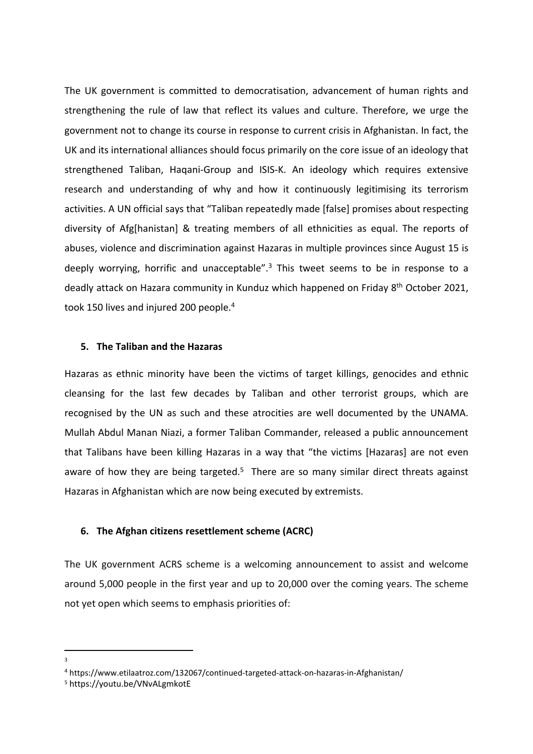The UK government is committed to democratisation, advancement of human rights and strengthening the rule of law that reflect its values and culture. Therefore, we urge the government not to change its course in response to current crisis in Afghanistan. In fact, the UK and its international alliances should focus primarily on the core issue of an ideology that strengthened Taliban, Haqani-Group and ISIS-K. An ideology which requires extensive research and understanding of why and how it continuously legitimising its terrorism activities. A UN official says that "Taliban repeatedly made [false] promises about respecting diversity of Afg[hanistan] & treating members of all ethnicities as equal. The reports of abuses, violence and discrimination against Hazaras in multiple provinces since August 15 is deeply worrying, horrific and unacceptable". $3$  This tweet seems to be in response to a deadly attack on Hazara community in Kunduz which happened on Friday 8<sup>th</sup> October 2021, took 150 lives and injured 200 people.<sup>4</sup>

#### **5. The Taliban and the Hazaras**

Hazaras as ethnic minority have been the victims of target killings, genocides and ethnic cleansing for the last few decades by Taliban and other terrorist groups, which are recognised by the UN as such and these atrocities are well documented by the UNAMA. Mullah Abdul Manan Niazi, a former Taliban Commander, released a public announcement that Talibans have been killing Hazaras in a way that "the victims [Hazaras] are not even aware of how they are being targeted.<sup>5</sup> There are so many similar direct threats against Hazaras in Afghanistan which are now being executed by extremists.

## **6. The Afghan citizens resettlement scheme (ACRC)**

The UK government ACRS scheme is a welcoming announcement to assist and welcome around 5,000 people in the first year and up to 20,000 over the coming years. The scheme not yet open which seems to emphasis priorities of:

3

<sup>4</sup> https://www.etilaatroz.com/132067/continued-targeted-attack-on-hazaras-in-Afghanistan/

<sup>5</sup> https://youtu.be/VNvALgmkotE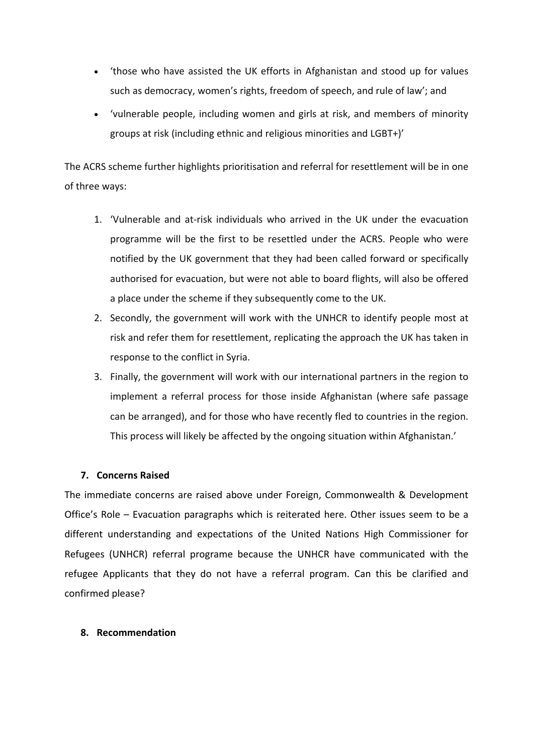- 'those who have assisted the UK efforts in Afghanistan and stood up for values such as democracy, women's rights, freedom of speech, and rule of law'; and
- 'vulnerable people, including women and girls at risk, and members of minority groups at risk (including ethnic and religious minorities and LGBT+)'

The ACRS scheme further highlights prioritisation and referral for resettlement will be in one of three ways:

- 1. 'Vulnerable and at-risk individuals who arrived in the UK under the evacuation programme will be the first to be resettled under the ACRS. People who were notified by the UK government that they had been called forward or specifically authorised for evacuation, but were not able to board flights, will also be offered a place under the scheme if they subsequently come to the UK.
- 2. Secondly, the government will work with the UNHCR to identify people most at risk and refer them for resettlement, replicating the approach the UK has taken in response to the conflict in Syria.
- 3. Finally, the government will work with our international partners in the region to implement a referral process for those inside Afghanistan (where safe passage can be arranged), and for those who have recently fled to countries in the region. This process will likely be affected by the ongoing situation within Afghanistan.'

## **7. Concerns Raised**

The immediate concerns are raised above under Foreign, Commonwealth & Development Office's Role – Evacuation paragraphs which is reiterated here. Other issues seem to be a different understanding and expectations of the United Nations High Commissioner for Refugees (UNHCR) referral programe because the UNHCR have communicated with the refugee Applicants that they do not have a referral program. Can this be clarified and confirmed please?

## **8. Recommendation**